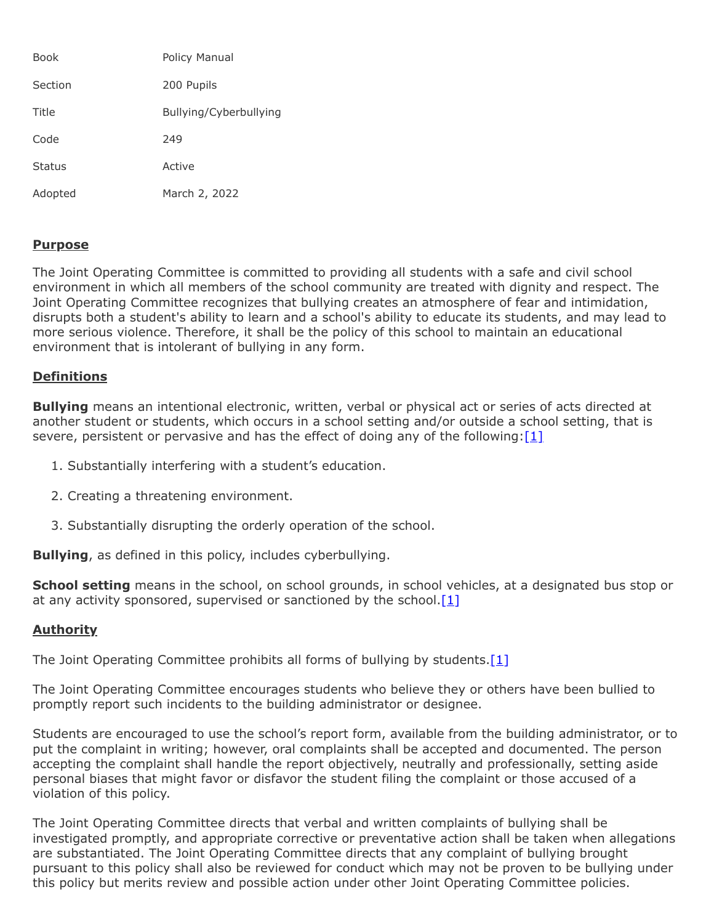| <b>Book</b>   | Policy Manual          |
|---------------|------------------------|
| Section       | 200 Pupils             |
| Title         | Bullying/Cyberbullying |
| Code          | 249                    |
| <b>Status</b> | Active                 |
| Adopted       | March 2, 2022          |

### **Purpose**

The Joint Operating Committee is committed to providing all students with a safe and civil school environment in which all members of the school community are treated with dignity and respect. The Joint Operating Committee recognizes that bullying creates an atmosphere of fear and intimidation, disrupts both a student's ability to learn and a school's ability to educate its students, and may lead to more serious violence. Therefore, it shall be the policy of this school to maintain an educational environment that is intolerant of bullying in any form.

# **Definitions**

**Bullying** means an intentional electronic, written, verbal or physical act or series of acts directed at another student or students, which occurs in a school setting and/or outside a school setting, that is severe, persistent or pervasive and has the effect of doing any of the following: $[1]$ 

- 1. Substantially interfering with a student's education.
- 2. Creating a threatening environment.
- 3. Substantially disrupting the orderly operation of the school.

**Bullying**, as defined in this policy, includes cyberbullying.

**School setting** means in the school, on school grounds, in school vehicles, at a designated bus stop or at any activity sponsored, supervised or sanctioned by the school. $[1]$ 

# **Authority**

The Joint Operating Committee prohibits all forms of bullying by students.  $[1]$ 

The Joint Operating Committee encourages students who believe they or others have been bullied to promptly report such incidents to the building administrator or designee.

Students are encouraged to use the school's report form, available from the building administrator, or to put the complaint in writing; however, oral complaints shall be accepted and documented. The person accepting the complaint shall handle the report objectively, neutrally and professionally, setting aside personal biases that might favor or disfavor the student filing the complaint or those accused of a violation of this policy.

The Joint Operating Committee directs that verbal and written complaints of bullying shall be investigated promptly, and appropriate corrective or preventative action shall be taken when allegations are substantiated. The Joint Operating Committee directs that any complaint of bullying brought pursuant to this policy shall also be reviewed for conduct which may not be proven to be bullying under this policy but merits review and possible action under other Joint Operating Committee policies.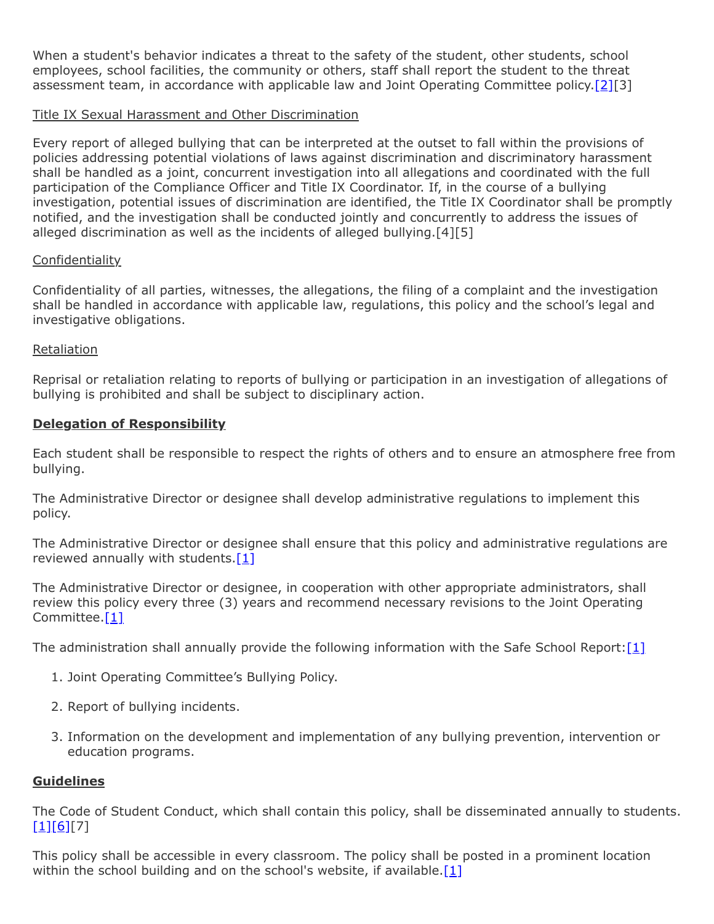When a student's behavior indicates a threat to the safety of the student, other students, school employees, school facilities, the community or others, staff shall report the student to the threat assessment team, in accordance with applicable law and Joint Operating Committee policy[.\[2\]](https://www.legis.state.pa.us/cfdocs/legis/LI/uconsCheck.cfm?txtType=HTM&yr=1949&sessInd=0&smthLwInd=0&act=14&chpt=13E&sctn=2&subsctn=0)[3]

# Title IX Sexual Harassment and Other Discrimination

Every report of alleged bullying that can be interpreted at the outset to fall within the provisions of policies addressing potential violations of laws against discrimination and discriminatory harassment shall be handled as a joint, concurrent investigation into all allegations and coordinated with the full participation of the Compliance Officer and Title IX Coordinator. If, in the course of a bullying investigation, potential issues of discrimination are identified, the Title IX Coordinator shall be promptly notified, and the investigation shall be conducted jointly and concurrently to address the issues of alleged discrimination as well as the incidents of alleged bullying.[4][5]

# **Confidentiality**

Confidentiality of all parties, witnesses, the allegations, the filing of a complaint and the investigation shall be handled in accordance with applicable law, regulations, this policy and the school's legal and investigative obligations.

### Retaliation

Reprisal or retaliation relating to reports of bullying or participation in an investigation of allegations of bullying is prohibited and shall be subject to disciplinary action.

# **Delegation of Responsibility**

Each student shall be responsible to respect the rights of others and to ensure an atmosphere free from bullying.

The Administrative Director or designee shall develop administrative regulations to implement this policy.

The Administrative Director or designee shall ensure that this policy and administrative regulations are reviewed annually with students. $[1]$ 

The Administrative Director or designee, in cooperation with other appropriate administrators, shall review this policy every three (3) years and recommend necessary revisions to the Joint Operating Committee.<sup>[\[1\]](http://www.legis.state.pa.us/cfdocs/legis/LI/uconsCheck.cfm?txtType=HTM&yr=1949&sessInd=0&smthLwInd=0&act=14&chpt=13A&sctn=3&subsctn=1)</sup>

The administration shall annually provide the following information with the Safe School Report: $[1]$ 

- 1. Joint Operating Committee's Bullying Policy.
- 2. Report of bullying incidents.
- 3. Information on the development and implementation of any bullying prevention, intervention or education programs.

### **Guidelines**

The Code of Student Conduct, which shall contain this policy, shall be disseminated annually to students.  $[1][6][7]$  $[1][6][7]$  $[1][6][7]$ 

This policy shall be accessible in every classroom. The policy shall be posted in a prominent location within the school building and on the school's website, if available.<sup>[\[1\]](http://www.legis.state.pa.us/cfdocs/legis/LI/uconsCheck.cfm?txtType=HTM&yr=1949&sessInd=0&smthLwInd=0&act=14&chpt=13A&sctn=3&subsctn=1)</sup>